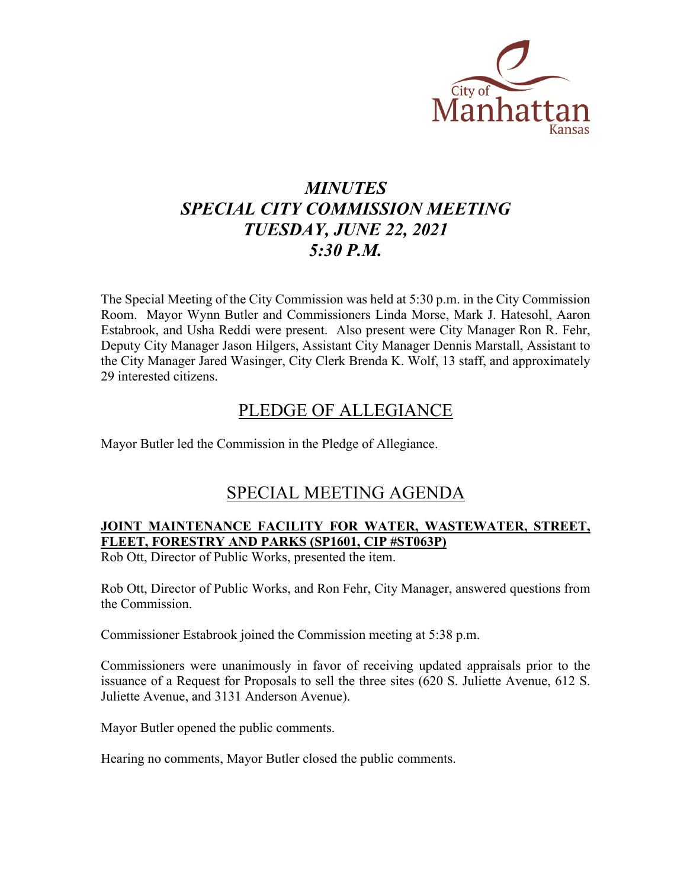

# *MINUTES SPECIAL CITY COMMISSION MEETING TUESDAY, JUNE 22, 2021 5:30 P.M.*

The Special Meeting of the City Commission was held at 5:30 p.m. in the City Commission Room. Mayor Wynn Butler and Commissioners Linda Morse, Mark J. Hatesohl, Aaron Estabrook, and Usha Reddi were present. Also present were City Manager Ron R. Fehr, Deputy City Manager Jason Hilgers, Assistant City Manager Dennis Marstall, Assistant to the City Manager Jared Wasinger, City Clerk Brenda K. Wolf, 13 staff, and approximately 29 interested citizens.

## PLEDGE OF ALLEGIANCE

Mayor Butler led the Commission in the Pledge of Allegiance.

## SPECIAL MEETING AGENDA

## **JOINT MAINTENANCE FACILITY FOR WATER, WASTEWATER, STREET, FLEET, FORESTRY AND PARKS (SP1601, CIP #ST063P)**

Rob Ott, Director of Public Works, presented the item.

Rob Ott, Director of Public Works, and Ron Fehr, City Manager, answered questions from the Commission.

Commissioner Estabrook joined the Commission meeting at 5:38 p.m.

Commissioners were unanimously in favor of receiving updated appraisals prior to the issuance of a Request for Proposals to sell the three sites (620 S. Juliette Avenue, 612 S. Juliette Avenue, and 3131 Anderson Avenue).

Mayor Butler opened the public comments.

Hearing no comments, Mayor Butler closed the public comments.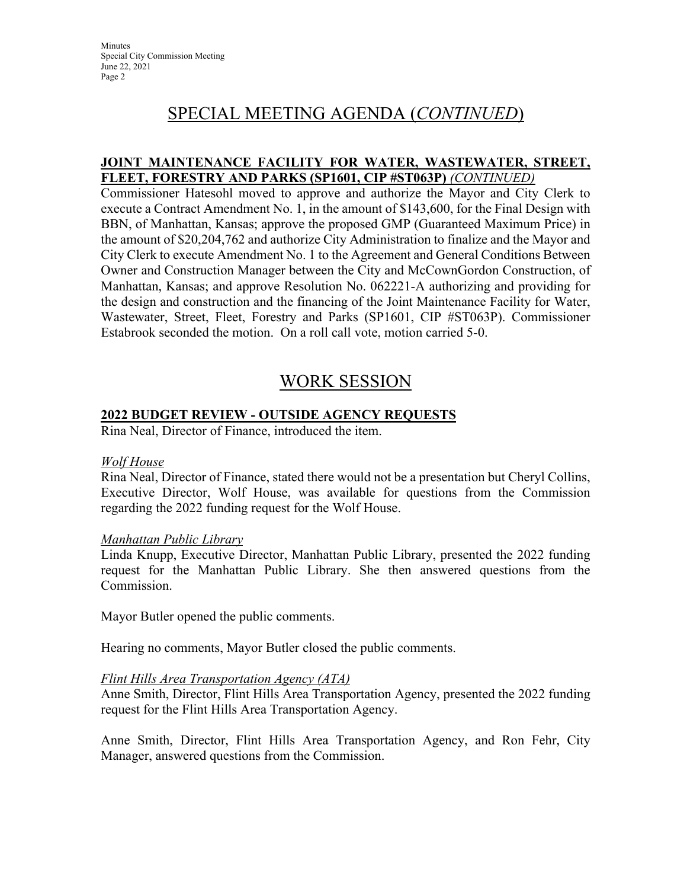## SPECIAL MEETING AGENDA (*CONTINUED*)

## **JOINT MAINTENANCE FACILITY FOR WATER, WASTEWATER, STREET, FLEET, FORESTRY AND PARKS (SP1601, CIP #ST063P)** *(CONTINUED)*

Commissioner Hatesohl moved to approve and authorize the Mayor and City Clerk to execute a Contract Amendment No. 1, in the amount of \$143,600, for the Final Design with BBN, of Manhattan, Kansas; approve the proposed GMP (Guaranteed Maximum Price) in the amount of \$20,204,762 and authorize City Administration to finalize and the Mayor and City Clerk to execute Amendment No. 1 to the Agreement and General Conditions Between Owner and Construction Manager between the City and McCownGordon Construction, of Manhattan, Kansas; and approve Resolution No. 062221-A authorizing and providing for the design and construction and the financing of the Joint Maintenance Facility for Water, Wastewater, Street, Fleet, Forestry and Parks (SP1601, CIP #ST063P). Commissioner Estabrook seconded the motion. On a roll call vote, motion carried 5-0.

## WORK SESSION

## **2022 BUDGET REVIEW - OUTSIDE AGENCY REQUESTS**

Rina Neal, Director of Finance, introduced the item.

### *Wolf House*

Rina Neal, Director of Finance, stated there would not be a presentation but Cheryl Collins, Executive Director, Wolf House, was available for questions from the Commission regarding the 2022 funding request for the Wolf House.

### *Manhattan Public Library*

Linda Knupp, Executive Director, Manhattan Public Library, presented the 2022 funding request for the Manhattan Public Library. She then answered questions from the Commission.

Mayor Butler opened the public comments.

Hearing no comments, Mayor Butler closed the public comments.

### *Flint Hills Area Transportation Agency (ATA)*

Anne Smith, Director, Flint Hills Area Transportation Agency, presented the 2022 funding request for the Flint Hills Area Transportation Agency.

Anne Smith, Director, Flint Hills Area Transportation Agency, and Ron Fehr, City Manager, answered questions from the Commission.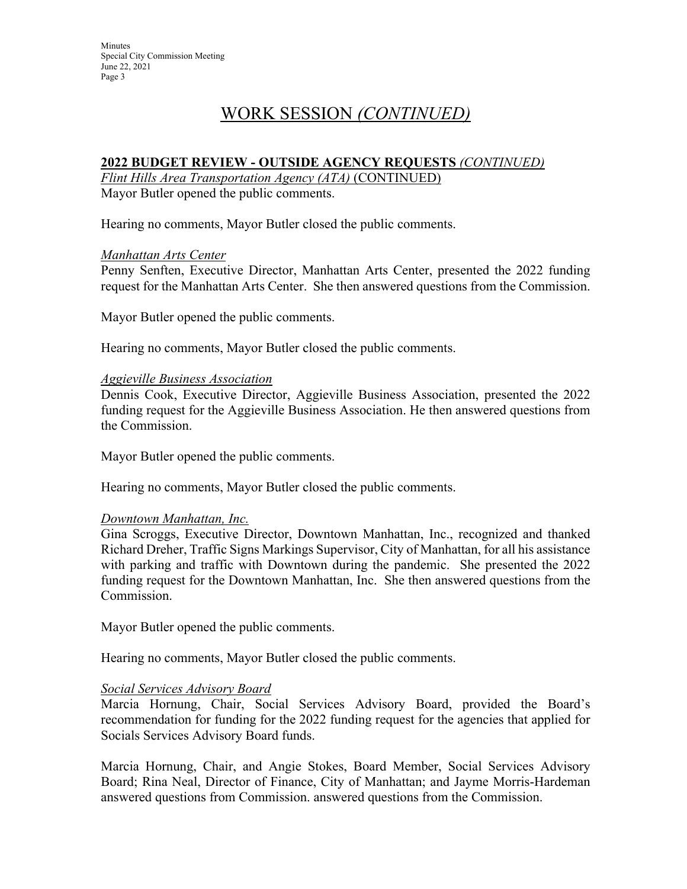## WORK SESSION *(CONTINUED)*

## **2022 BUDGET REVIEW - OUTSIDE AGENCY REQUESTS** *(CONTINUED)*

*Flint Hills Area Transportation Agency (ATA)* (CONTINUED) Mayor Butler opened the public comments.

Hearing no comments, Mayor Butler closed the public comments.

### *Manhattan Arts Center*

Penny Senften, Executive Director, Manhattan Arts Center, presented the 2022 funding request for the Manhattan Arts Center. She then answered questions from the Commission.

Mayor Butler opened the public comments.

Hearing no comments, Mayor Butler closed the public comments.

### *Aggieville Business Association*

Dennis Cook, Executive Director, Aggieville Business Association, presented the 2022 funding request for the Aggieville Business Association. He then answered questions from the Commission.

Mayor Butler opened the public comments.

Hearing no comments, Mayor Butler closed the public comments.

### *Downtown Manhattan, Inc.*

Gina Scroggs, Executive Director, Downtown Manhattan, Inc., recognized and thanked Richard Dreher, Traffic Signs Markings Supervisor, City of Manhattan, for all his assistance with parking and traffic with Downtown during the pandemic. She presented the 2022 funding request for the Downtown Manhattan, Inc. She then answered questions from the Commission.

Mayor Butler opened the public comments.

Hearing no comments, Mayor Butler closed the public comments.

### *Social Services Advisory Board*

Marcia Hornung, Chair, Social Services Advisory Board, provided the Board's recommendation for funding for the 2022 funding request for the agencies that applied for Socials Services Advisory Board funds.

Marcia Hornung, Chair, and Angie Stokes, Board Member, Social Services Advisory Board; Rina Neal, Director of Finance, City of Manhattan; and Jayme Morris-Hardeman answered questions from Commission. answered questions from the Commission.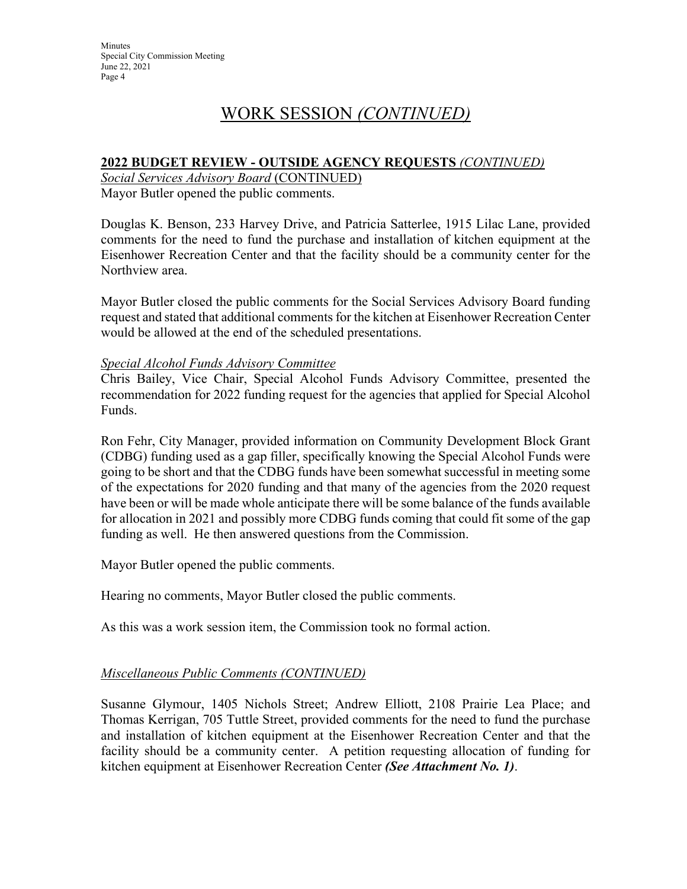## WORK SESSION *(CONTINUED)*

## **2022 BUDGET REVIEW - OUTSIDE AGENCY REQUESTS** *(CONTINUED)*

*Social Services Advisory Board* (CONTINUED) Mayor Butler opened the public comments.

Douglas K. Benson, 233 Harvey Drive, and Patricia Satterlee, 1915 Lilac Lane, provided comments for the need to fund the purchase and installation of kitchen equipment at the Eisenhower Recreation Center and that the facility should be a community center for the Northview area.

Mayor Butler closed the public comments for the Social Services Advisory Board funding request and stated that additional comments for the kitchen at Eisenhower Recreation Center would be allowed at the end of the scheduled presentations.

### *Special Alcohol Funds Advisory Committee*

Chris Bailey, Vice Chair, Special Alcohol Funds Advisory Committee, presented the recommendation for 2022 funding request for the agencies that applied for Special Alcohol Funds.

Ron Fehr, City Manager, provided information on Community Development Block Grant (CDBG) funding used as a gap filler, specifically knowing the Special Alcohol Funds were going to be short and that the CDBG funds have been somewhat successful in meeting some of the expectations for 2020 funding and that many of the agencies from the 2020 request have been or will be made whole anticipate there will be some balance of the funds available for allocation in 2021 and possibly more CDBG funds coming that could fit some of the gap funding as well. He then answered questions from the Commission.

Mayor Butler opened the public comments.

Hearing no comments, Mayor Butler closed the public comments.

As this was a work session item, the Commission took no formal action.

## *Miscellaneous Public Comments (CONTINUED)*

Susanne Glymour, 1405 Nichols Street; Andrew Elliott, 2108 Prairie Lea Place; and Thomas Kerrigan, 705 Tuttle Street, provided comments for the need to fund the purchase and installation of kitchen equipment at the Eisenhower Recreation Center and that the facility should be a community center. A petition requesting allocation of funding for kitchen equipment at Eisenhower Recreation Center *(See Attachment No. 1)*.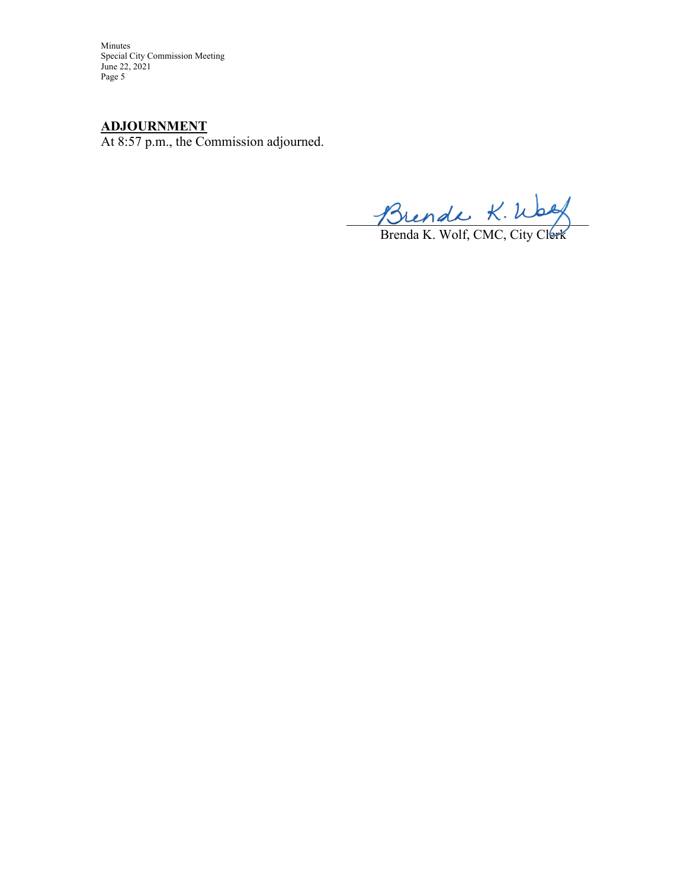Minutes Special City Commission Meeting June 22, 2021 Page 5

## **ADJOURNMENT**

At 8:57 p.m., the Commission adjourned.

 $m$   $\sim$ 

Brenda K. Wolf, CMC, City Clerk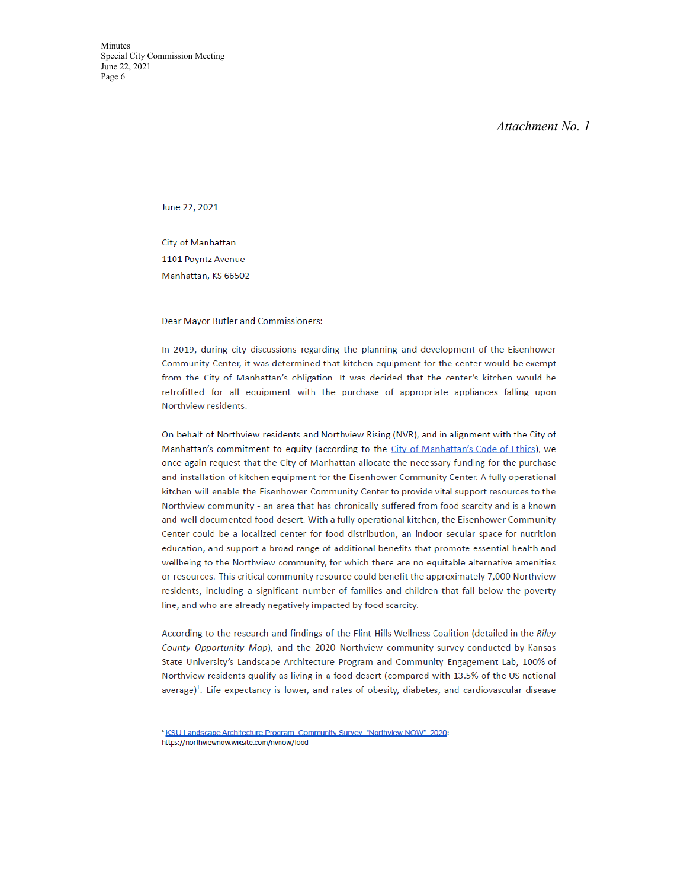#### Attachment No. 1

June 22, 2021

City of Manhattan 1101 Poyntz Avenue Manhattan, KS 66502

Dear Mayor Butler and Commissioners:

In 2019, during city discussions regarding the planning and development of the Eisenhower Community Center, it was determined that kitchen equipment for the center would be exempt from the City of Manhattan's obligation. It was decided that the center's kitchen would be retrofitted for all equipment with the purchase of appropriate appliances falling upon Northview residents.

On behalf of Northview residents and Northview Rising (NVR), and in alignment with the City of Manhattan's commitment to equity (according to the City of Manhattan's Code of Ethics), we once again request that the City of Manhattan allocate the necessary funding for the purchase and installation of kitchen equipment for the Eisenhower Community Center. A fully operational kitchen will enable the Eisenhower Community Center to provide vital support resources to the Northview community - an area that has chronically suffered from food scarcity and is a known and well documented food desert. With a fully operational kitchen, the Eisenhower Community Center could be a localized center for food distribution, an indoor secular space for nutrition education, and support a broad range of additional benefits that promote essential health and wellbeing to the Northview community, for which there are no equitable alternative amenities or resources. This critical community resource could benefit the approximately 7,000 Northview residents, including a significant number of families and children that fall below the poverty line, and who are already negatively impacted by food scarcity.

According to the research and findings of the Flint Hills Wellness Coalition (detailed in the Riley County Opportunity Map), and the 2020 Northview community survey conducted by Kansas State University's Landscape Architecture Program and Community Engagement Lab, 100% of Northview residents qualify as living in a food desert (compared with 13.5% of the US national average)<sup>1</sup>. Life expectancy is lower, and rates of obesity, diabetes, and cardiovascular disease

https://northviewnow.wixsite.com/nvnow/food

<sup>&</sup>lt;sup>1</sup> KSU Landscape Architecture Program. Community Survey. "Northview NOW". 2020: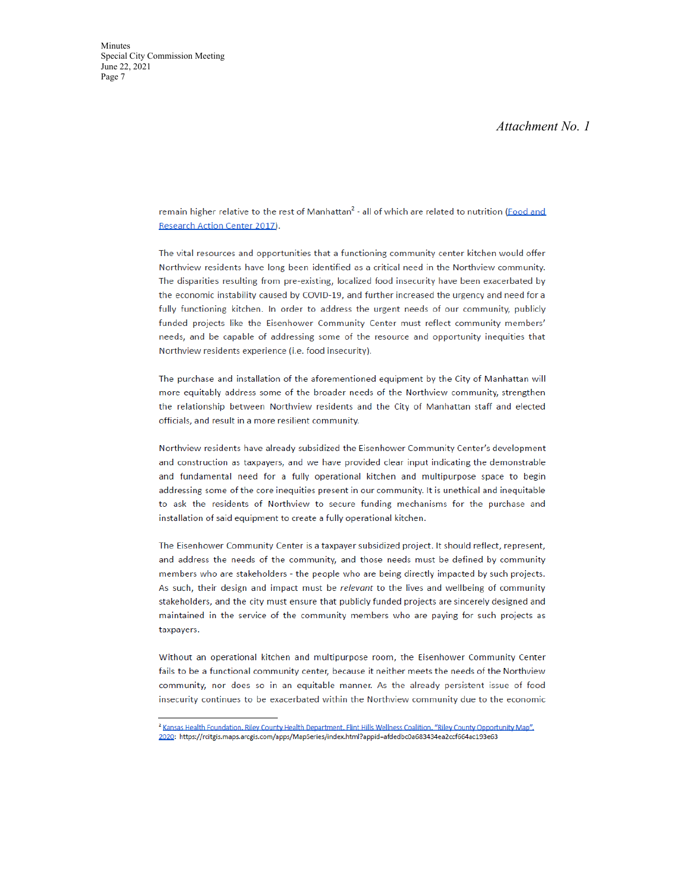#### Attachment No. 1

remain higher relative to the rest of Manhattan<sup>2</sup> - all of which are related to nutrition (Food and **Research Action Center 2017).** 

The vital resources and opportunities that a functioning community center kitchen would offer Northview residents have long been identified as a critical need in the Northview community. The disparities resulting from pre-existing, localized food insecurity have been exacerbated by the economic instability caused by COVID-19, and further increased the urgency and need for a fully functioning kitchen. In order to address the urgent needs of our community, publicly funded projects like the Eisenhower Community Center must reflect community members' needs, and be capable of addressing some of the resource and opportunity inequities that Northview residents experience (i.e. food insecurity).

The purchase and installation of the aforementioned equipment by the City of Manhattan will more equitably address some of the broader needs of the Northview community, strengthen the relationship between Northview residents and the City of Manhattan staff and elected officials, and result in a more resilient community.

Northview residents have already subsidized the Eisenhower Community Center's development and construction as taxpayers, and we have provided clear input indicating the demonstrable and fundamental need for a fully operational kitchen and multipurpose space to begin addressing some of the core inequities present in our community. It is unethical and inequitable to ask the residents of Northview to secure funding mechanisms for the purchase and installation of said equipment to create a fully operational kitchen.

The Eisenhower Community Center is a taxpayer subsidized project. It should reflect, represent, and address the needs of the community, and those needs must be defined by community members who are stakeholders - the people who are being directly impacted by such projects. As such, their design and impact must be relevant to the lives and wellbeing of community stakeholders, and the city must ensure that publicly funded projects are sincerely designed and maintained in the service of the community members who are paying for such projects as taxpayers.

Without an operational kitchen and multipurpose room, the Eisenhower Community Center fails to be a functional community center, because it neither meets the needs of the Northview community, nor does so in an equitable manner. As the already persistent issue of food insecurity continues to be exacerbated within the Northview community due to the economic

<sup>&</sup>lt;sup>2</sup> Kansas Health Foundation, Riley County Health Department, Flint Hills Wellness Coalition, "Riley County Opportunity Map". 2020: https://rcitgis.maps.arcgis.com/apps/MapSeries/index.html?appid=afdedbc0a683434ea2ccf664ac193e63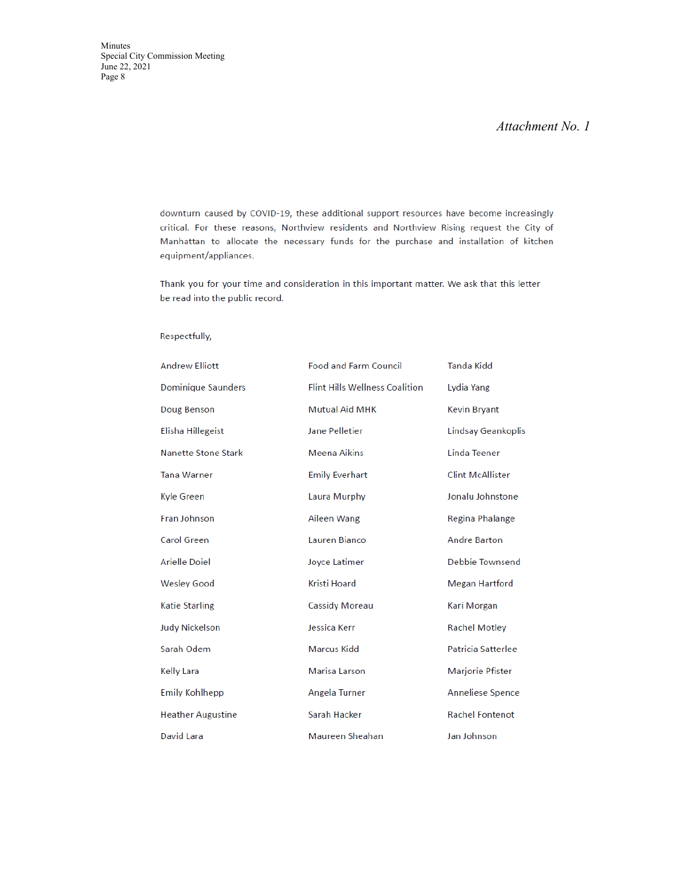### *Attachment No. 1*

downturn caused by COVID-19, these additional support resources have become increasingly critical. For these reasons, Northview residents and Northview Rising request the City of Manhattan to allocate the necessary funds for the purchase and installation of kitchen equipment/appliances.

Thank you for your time and consideration in this important matter. We ask that this letter be read into the public record.

#### Respectfully,

| <b>Andrew Elliott</b>      | <b>Food and Farm Council</b>          | Tanda Kidd              |
|----------------------------|---------------------------------------|-------------------------|
| <b>Dominique Saunders</b>  | <b>Flint Hills Wellness Coalition</b> | Lydia Yang              |
| Doug Benson                | <b>Mutual Aid MHK</b>                 | <b>Kevin Bryant</b>     |
| Elisha Hillegeist          | <b>Jane Pelletier</b>                 | Lindsay Geankoplis      |
| <b>Nanette Stone Stark</b> | <b>Meena Aikins</b>                   | Linda Teener            |
| <b>Tana Warner</b>         | <b>Emily Everhart</b>                 | <b>Clint McAllister</b> |
| Kyle Green                 | Laura Murphy                          | Jonalu Johnstone        |
| Fran Johnson               | Aileen Wang                           | Regina Phalange         |
| <b>Carol Green</b>         | Lauren Bianco                         | <b>Andre Barton</b>     |
| Arielle Doiel              | Joyce Latimer                         | Debbie Townsend         |
| <b>Wesley Good</b>         | <b>Kristi Hoard</b>                   | Megan Hartford          |
| <b>Katie Starling</b>      | <b>Cassidy Moreau</b>                 | Kari Morgan             |
| <b>Judy Nickelson</b>      | Jessica Kerr                          | <b>Rachel Motley</b>    |
| Sarah Odem                 | <b>Marcus Kidd</b>                    | Patricia Satterlee      |
| <b>Kelly Lara</b>          | <b>Marisa Larson</b>                  | Marjorie Pfister        |
| <b>Emily Kohlhepp</b>      | Angela Turner                         | <b>Anneliese Spence</b> |
| <b>Heather Augustine</b>   | Sarah Hacker                          | <b>Rachel Fontenot</b>  |
| David Lara                 | Maureen Sheahan                       | Jan Johnson             |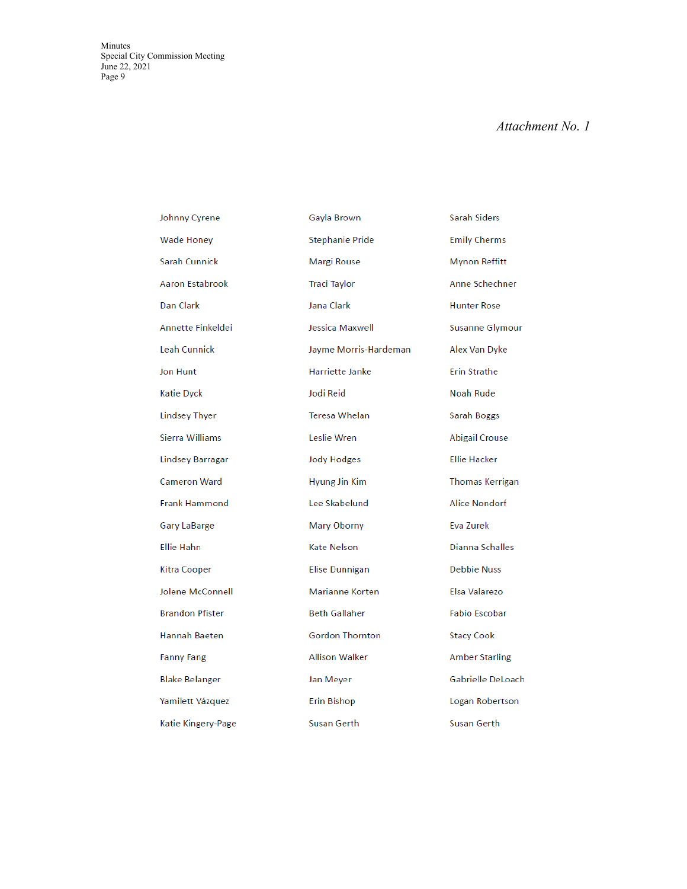Minutes Special City Commission Meeting June 22, 202 1 Page 9

### *Attachment No. 1*

| Johnny Cyrene          | Gayla Brown          |
|------------------------|----------------------|
| <b>Wade Honey</b>      | Stephanie Pri        |
| Sarah Cunnick          | Margi Rouse          |
| Aaron Estabrook        | Traci Taylor         |
| Dan Clark              | Jana Clark           |
| Annette Finkeldei      | Jessica Maxw         |
| Leah Cunnick           | <b>Jayme Morris</b>  |
| Jon Hunt               | Harriette Jan        |
| <b>Katie Dyck</b>      | Jodi Reid            |
| <b>Lindsey Thyer</b>   | Teresa Whela         |
| Sierra Williams        | Leslie Wren          |
| Lindsey Barragar       | <b>Jody Hodges</b>   |
| <b>Cameron Ward</b>    | Hyung Jin Kin        |
| <b>Frank Hammond</b>   | Lee Skabelun         |
| Gary LaBarge           | Mary Oborny          |
| <b>Ellie Hahn</b>      | Kate Nelson          |
| Kitra Cooper           | Elise Dunniga        |
| Jolene McConnell       | Marianne Ko          |
| <b>Brandon Pfister</b> | <b>Beth Gallahe</b>  |
| Hannah Baeten          | Gordon Thor          |
| <b>Fanny Fang</b>      | <b>Allison Walke</b> |
| <b>Blake Belanger</b>  | Jan Meyer            |
| Yamilett Vázquez       | Erin Bishop          |
| Katie Kingery-Page     | Susan Gerth          |

hanie Pride rgi Rouse i Taylor Clark ica Maxwell ne Morris-Hardeman riette Janke Reid sa Whelan ie Wren y Hodges ing Jin Kim Skabelund ry Oborny Nelson Dunnigan rianne Korten h Gallaher don Thornton son Walker Meyer Bishop Susan Gerth

Sarah Siders **Emily Cherms Mynon Reffitt** Anne Schechner **Hunter Rose** Susanne Glymour Alex Van Dyke **Erin Strathe** Noah Rude Sarah Boggs Abigail Crouse **Ellie Hacker Thomas Kerrigan Alice Nondorf** Eva Zurek Dianna Schalles **Debbie Nuss** Elsa Valarezo **Fabio Escobar Stacy Cook Amber Starling** Gabrielle DeLoach Logan Robertson Susan Gerth